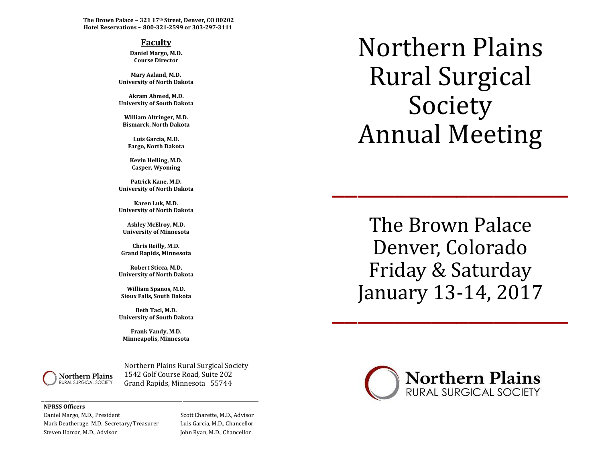**The Brown Palace ~ 321 17th Street, Denver, CO 80202 Hotel Reservations ~ 800-321-2599 or 303-297-3111**

#### **Faculty**

**Daniel Margo, M.D. Course Director**

**Mary Aaland, M.D. University of North Dakota**

**Akram Ahmed, M.D. University of South Dakota**

**William Altringer, M.D. Bismarck, North Dakota**

**Luis Garcia, M.D. Fargo, North Dakota**

**Kevin Helling, M.D. Casper, Wyoming**

**Patrick Kane, M.D. University of North Dakota**

**Karen Luk, M.D. University of North Dakota**

**Ashley McElroy, M.D. University of Minnesota**

**Chris Reilly, M.D. Grand Rapids, Minnesota**

**Robert Sticca, M.D. University of North Dakota**

**William Spanos, M.D. Sioux Falls, South Dakota**

**Beth Tacl, M.D. University of South Dakota**

**Frank Vandy, M.D. Minneapolis, Minnesota**

\_\_\_\_\_\_\_\_\_\_\_\_\_\_\_\_\_\_\_\_\_\_\_\_\_\_\_\_\_\_\_\_\_\_\_\_\_\_\_\_\_\_\_\_\_\_\_\_\_\_\_\_\_\_\_\_\_\_\_\_\_\_\_\_\_\_\_\_\_\_\_\_\_\_\_\_\_



 Northern Plains Rural Surgical Society Northern Plains 1542 Golf Course Road, Suite 202 RURAL SURGICAL SOCIETY **Grand Rapids, Minnesota 55744** 

#### **NPRSS Officers**

Daniel Margo, M.D., President Scott Charette, M.D., Advisor Mark Deatherage, M.D., Secretary/Treasurer Luis Garcia, M.D., Chancellor Steven Hamar, M.D., Advisor John Ryan, M.D., Chancellor

Northern Plains Rural Surgical Society Annual Meeting

The Brown Palace Denver, Colorado Friday & Saturday January 13-14, 2017 Jdliudi y 15-14, 2017

\_\_\_\_\_\_\_\_\_\_\_\_\_\_\_\_\_\_\_